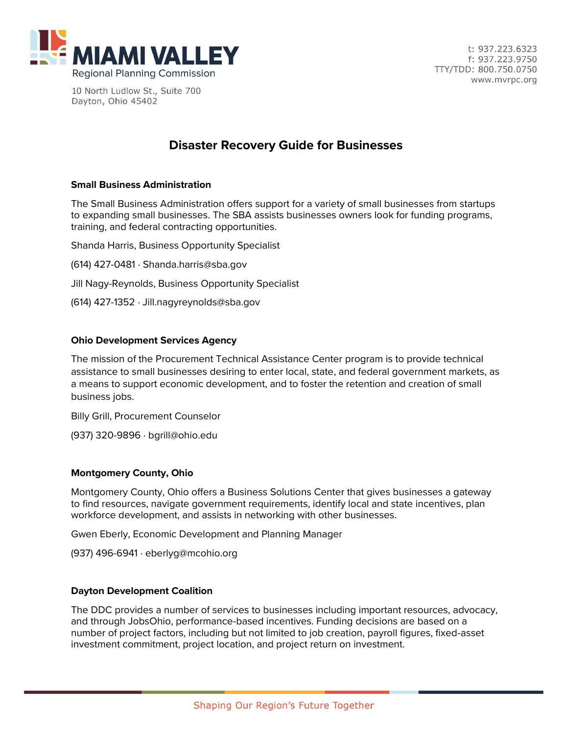

10 North Ludlow St., Suite 700 Dayton, Ohio 45402

# **Disaster Recovery Guide for Businesses**

### **[Small Business Administration](https://www.sba.gov/funding-programs)**

The Small Business Administration offers support for a variety of small businesses from startups to expanding small businesses. The SBA assists businesses owners look for funding programs, training, and federal contracting opportunities.

Shanda Harris, Business Opportunity Specialist

(614) 427-0481 · [Shanda.harris@sba.gov](mailto:Shanda.harris@sba.gov)

- Jill Nagy-Reynolds, Business Opportunity Specialist
- (614) 427-1352 · [Jill.nagyreynolds@sba.gov](mailto:Jill.nagyreynolds@sba.gov)

#### **[Ohio Development Services Agency](https://ptac.ohio.edu/)**

The mission of the Procurement Technical Assistance Center program is to provide technical assistance to small businesses desiring to enter local, state, and federal government markets, as a means to support economic development, and to foster the retention and creation of small business jobs.

Billy Grill, Procurement Counselor

(937) 320-9896 · [bgrill@ohio.edu](mailto:bgrill@ohio.edu)

### **[Montgomery County,](http://www.selectmcohio.com/economic-development/incentives-and-assistance) Ohio**

Montgomery County, Ohio offers a Business Solutions Center that gives businesses a gateway to find resources, navigate government requirements, identify local and state incentives, plan workforce development, and assists in networking with other businesses.

Gwen Eberly, Economic Development and Planning Manager

(937) 496-6941 · [eberlyg@mcohio.org](mailto:eberlyg@mcohio.org)

### **[Dayton Development Coalition](https://www.jobsohio.com/why-ohio/incentives/)**

The DDC provides a number of services to businesses including important resources, advocacy, and through JobsOhio, performance-based incentives. Funding decisions are based on a number of project factors, including but not limited to job creation, payroll figures, fixed-asset investment commitment, project location, and project return on investment.